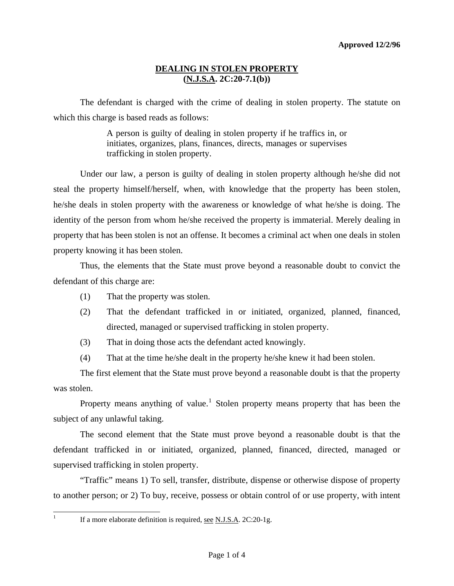### **DEALING IN STOLEN PROPERTY (N.J.S.A. 2C:20-7.1(b))**

 The defendant is charged with the crime of dealing in stolen property. The statute on which this charge is based reads as follows:

> A person is guilty of dealing in stolen property if he traffics in, or initiates, organizes, plans, finances, directs, manages or supervises trafficking in stolen property.

 Under our law, a person is guilty of dealing in stolen property although he/she did not steal the property himself/herself, when, with knowledge that the property has been stolen, he/she deals in stolen property with the awareness or knowledge of what he/she is doing. The identity of the person from whom he/she received the property is immaterial. Merely dealing in property that has been stolen is not an offense. It becomes a criminal act when one deals in stolen property knowing it has been stolen.

 Thus, the elements that the State must prove beyond a reasonable doubt to convict the defendant of this charge are:

- (1) That the property was stolen.
- (2) That the defendant trafficked in or initiated, organized, planned, financed, directed, managed or supervised trafficking in stolen property.
- (3) That in doing those acts the defendant acted knowingly.
- (4) That at the time he/she dealt in the property he/she knew it had been stolen.

 The first element that the State must prove beyond a reasonable doubt is that the property was stolen.

Property means anything of value.<sup>[1](#page-0-0)</sup> Stolen property means property that has been the subject of any unlawful taking.

 The second element that the State must prove beyond a reasonable doubt is that the defendant trafficked in or initiated, organized, planned, financed, directed, managed or supervised trafficking in stolen property.

 "Traffic" means 1) To sell, transfer, distribute, dispense or otherwise dispose of property to another person; or 2) To buy, receive, possess or obtain control of or use property, with intent

<span id="page-0-0"></span> $\frac{1}{1}$ 

If a more elaborate definition is required, see N.J.S.A. 2C:20-1g.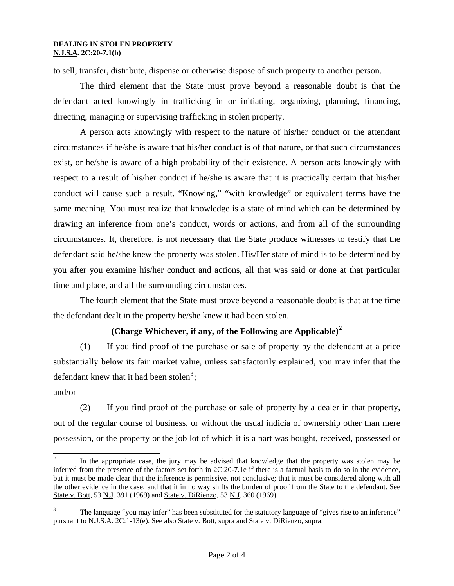#### **DEALING IN STOLEN PROPERTY N.J.S.A. 2C:20-7.1(b)**

to sell, transfer, distribute, dispense or otherwise dispose of such property to another person.

 The third element that the State must prove beyond a reasonable doubt is that the defendant acted knowingly in trafficking in or initiating, organizing, planning, financing, directing, managing or supervising trafficking in stolen property.

 A person acts knowingly with respect to the nature of his/her conduct or the attendant circumstances if he/she is aware that his/her conduct is of that nature, or that such circumstances exist, or he/she is aware of a high probability of their existence. A person acts knowingly with respect to a result of his/her conduct if he/she is aware that it is practically certain that his/her conduct will cause such a result. "Knowing," "with knowledge" or equivalent terms have the same meaning. You must realize that knowledge is a state of mind which can be determined by drawing an inference from one's conduct, words or actions, and from all of the surrounding circumstances. It, therefore, is not necessary that the State produce witnesses to testify that the defendant said he/she knew the property was stolen. His/Her state of mind is to be determined by you after you examine his/her conduct and actions, all that was said or done at that particular time and place, and all the surrounding circumstances.

 The fourth element that the State must prove beyond a reasonable doubt is that at the time the defendant dealt in the property he/she knew it had been stolen.

# **(Charge Whichever, if any, of the Following are Applicable)[2](#page-1-0)**

(1) If you find proof of the purchase or sale of property by the defendant at a price substantially below its fair market value, unless satisfactorily explained, you may infer that the defendant knew that it had been stolen<sup>[3](#page-1-1)</sup>;

#### and/or

(2) If you find proof of the purchase or sale of property by a dealer in that property, out of the regular course of business, or without the usual indicia of ownership other than mere possession, or the property or the job lot of which it is a part was bought, received, possessed or

<span id="page-1-0"></span> $\frac{1}{2}$  In the appropriate case, the jury may be advised that knowledge that the property was stolen may be inferred from the presence of the factors set forth in 2C:20-7.1e if there is a factual basis to do so in the evidence, but it must be made clear that the inference is permissive, not conclusive; that it must be considered along with all the other evidence in the case; and that it in no way shifts the burden of proof from the State to the defendant. See State v. Bott, 53 N.J. 391 (1969) and State v. DiRienzo, 53 N.J. 360 (1969).

<span id="page-1-1"></span><sup>3</sup> The language "you may infer" has been substituted for the statutory language of "gives rise to an inference" pursuant to N.J.S.A. 2C:1-13(e). See also State v. Bott, supra and State v. DiRienzo, supra.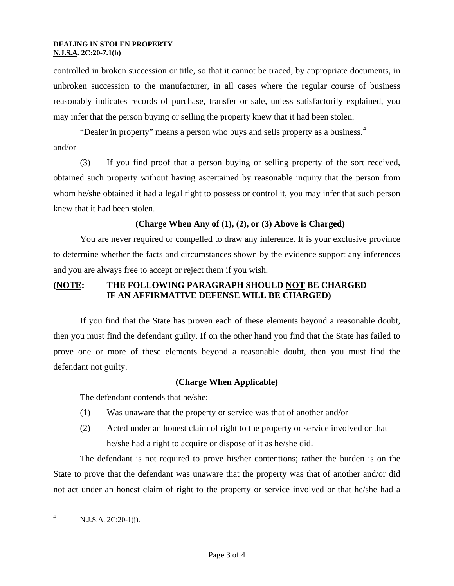#### **DEALING IN STOLEN PROPERTY N.J.S.A. 2C:20-7.1(b)**

controlled in broken succession or title, so that it cannot be traced, by appropriate documents, in unbroken succession to the manufacturer, in all cases where the regular course of business reasonably indicates records of purchase, transfer or sale, unless satisfactorily explained, you may infer that the person buying or selling the property knew that it had been stolen.

"Dealer in property" means a person who buys and sells property as a business.<sup>[4](#page-2-0)</sup> and/or

(3) If you find proof that a person buying or selling property of the sort received, obtained such property without having ascertained by reasonable inquiry that the person from whom he/she obtained it had a legal right to possess or control it, you may infer that such person knew that it had been stolen.

## **(Charge When Any of (1), (2), or (3) Above is Charged)**

 You are never required or compelled to draw any inference. It is your exclusive province to determine whether the facts and circumstances shown by the evidence support any inferences and you are always free to accept or reject them if you wish.

## **(NOTE: THE FOLLOWING PARAGRAPH SHOULD NOT BE CHARGED IF AN AFFIRMATIVE DEFENSE WILL BE CHARGED)**

 If you find that the State has proven each of these elements beyond a reasonable doubt, then you must find the defendant guilty. If on the other hand you find that the State has failed to prove one or more of these elements beyond a reasonable doubt, then you must find the defendant not guilty.

### **(Charge When Applicable)**

The defendant contends that he/she:

- (1) Was unaware that the property or service was that of another and/or
- (2) Acted under an honest claim of right to the property or service involved or that he/she had a right to acquire or dispose of it as he/she did.

 The defendant is not required to prove his/her contentions; rather the burden is on the State to prove that the defendant was unaware that the property was that of another and/or did not act under an honest claim of right to the property or service involved or that he/she had a

<span id="page-2-0"></span> $\frac{1}{4}$ N.J.S.A. 2C:20-1(j).